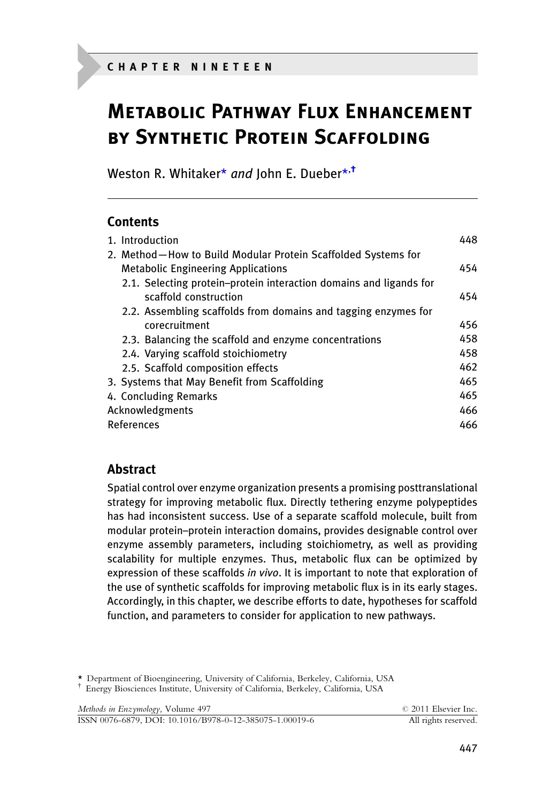# Metabolic Pathway Flux Enhancement by Synthetic Protein Scaffolding

Weston R. Whitaker\* and John E. Dueber\*,<sup>†</sup>

#### **Contents**

| 1. Introduction                                                                                            | 448 |
|------------------------------------------------------------------------------------------------------------|-----|
| 2. Method-How to Build Modular Protein Scaffolded Systems for<br><b>Metabolic Engineering Applications</b> | 454 |
| 2.1. Selecting protein–protein interaction domains and ligands for<br>scaffold construction                | 454 |
| 2.2. Assembling scaffolds from domains and tagging enzymes for                                             |     |
| corecruitment                                                                                              | 456 |
| 2.3. Balancing the scaffold and enzyme concentrations                                                      | 458 |
| 2.4. Varying scaffold stoichiometry                                                                        | 458 |
| 2.5. Scaffold composition effects                                                                          | 462 |
| 3. Systems that May Benefit from Scaffolding                                                               | 465 |
| 4. Concluding Remarks                                                                                      | 465 |
| Acknowledgments                                                                                            | 466 |
| <b>References</b>                                                                                          | 466 |
|                                                                                                            |     |

## **Abstract**

Abstract Spatial control over enzyme organization presents a promising posttranslational strategy for improving metabolic flux. Directly tethering enzyme polypeptides has had inconsistent success. Use of a separate scaffold molecule, built from modular protein–protein interaction domains, provides designable control over enzyme assembly parameters, including stoichiometry, as well as providing scalability for multiple enzymes. Thus, metabolic flux can be optimized by expression of these scaffolds in vivo. It is important to note that exploration of the use of synthetic scaffolds for improving metabolic flux is in its early stages. Accordingly, in this chapter, we describe efforts to date, hypotheses for scaffold function, and parameters to consider for application to new pathways.

\* Department of Bioengineering, University of California, Berkeley, California, USA

{ Energy Biosciences Institute, University of California, Berkeley, California, USA

Methods in Enzymology, Volume 497  $\oslash$  2011 Elsevier Inc.

ISSN 0076-6879, DOI: 10.1016/B978-0-12-385075-1.00019-6 All rights reserved.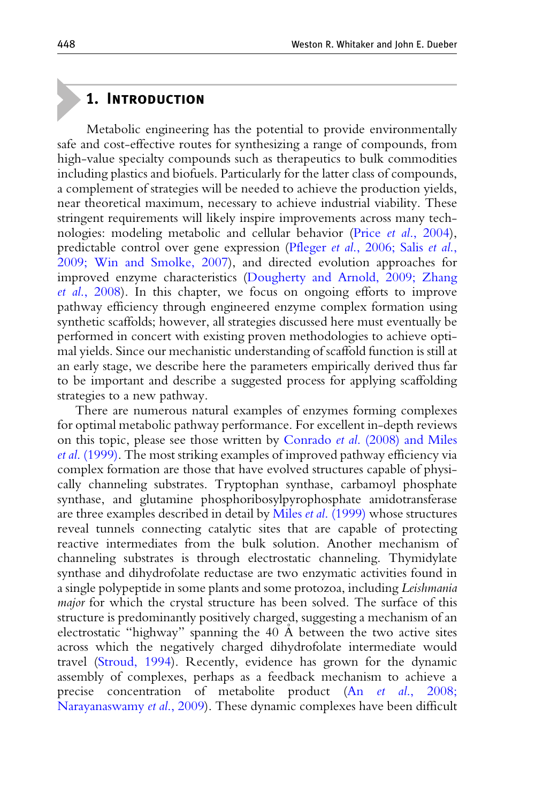#### 1. Introduction

Metabolic engineering has the potential to provide environmentally safe and cost-effective routes for synthesizing a range of compounds, from high-value specialty compounds such as therapeutics to bulk commodities including plastics and biofuels. Particularly for the latter class of compounds, a complement of strategies will be needed to achieve the production yields, near theoretical maximum, necessary to achieve industrial viability. These stringent requirements will likely inspire improvements across many technologies: modeling metabolic and cellular behavior (Price et al[., 2004\)](#page-21-0), predictable control over gene expression (Pfleger et al[., 2006; Salis](#page-21-0) et al., [2009; Win and Smolke, 2007](#page-21-0)), and directed evolution approaches for improved enzyme characteristics ([Dougherty and Arnold, 2009; Zhang](#page-19-0) et al[., 2008](#page-19-0)). In this chapter, we focus on ongoing efforts to improve pathway efficiency through engineered enzyme complex formation using synthetic scaffolds; however, all strategies discussed here must eventually be performed in concert with existing proven methodologies to achieve optimal yields. Since our mechanistic understanding of scaffold function is still at an early stage, we describe here the parameters empirically derived thus far to be important and describe a suggested process for applying scaffolding strategies to a new pathway.

There are numerous natural examples of enzymes forming complexes for optimal metabolic pathway performance. For excellent in-depth reviews on this topic, please see those written by Conrado et al[. \(2008\) and Miles](#page-19-0) et al[. \(1999\)](#page-19-0). The most striking examples of improved pathway efficiency via complex formation are those that have evolved structures capable of physically channeling substrates. Tryptophan synthase, carbamoyl phosphate synthase, and glutamine phosphoribosylpyrophosphate amidotransferase are three examples described in detail by Miles *et al.* (1999) whose structures reveal tunnels connecting catalytic sites that are capable of protecting reactive intermediates from the bulk solution. Another mechanism of channeling substrates is through electrostatic channeling. Thymidylate synthase and dihydrofolate reductase are two enzymatic activities found in a single polypeptide in some plants and some protozoa, including Leishmania major for which the crystal structure has been solved. The surface of this structure is predominantly positively charged, suggesting a mechanism of an electrostatic "highway" spanning the  $40$  Å between the two active sites across which the negatively charged dihydrofolate intermediate would travel [\(Stroud, 1994](#page-21-0)). Recently, evidence has grown for the dynamic assembly of complexes, perhaps as a feedback mechanism to achieve a precise concentration of metabolite product (An et al[., 2008;](#page-19-0) [Narayanaswamy](#page-19-0) et al., 2009). These dynamic complexes have been difficult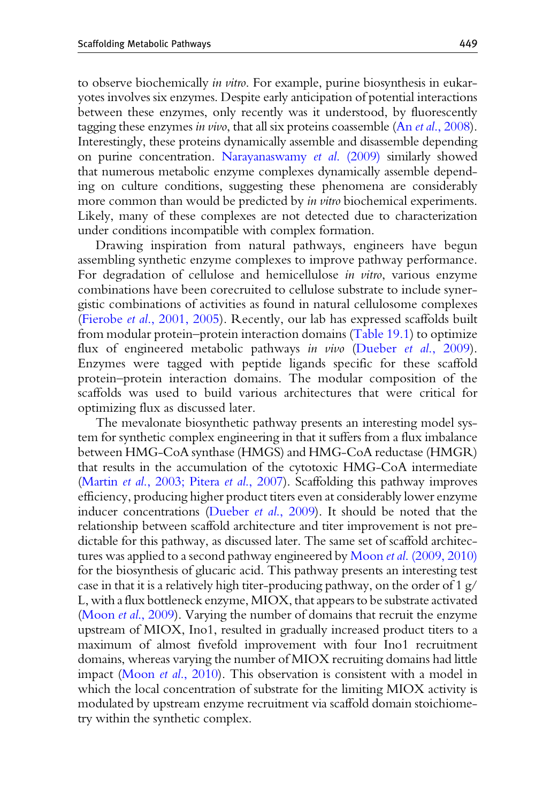to observe biochemically in vitro. For example, purine biosynthesis in eukaryotes involves six enzymes. Despite early anticipation of potential interactions between these enzymes, only recently was it understood, by fluorescently tagging these enzymes in vivo, that all six proteins coassemble (An et al[., 2008\)](#page-19-0). Interestingly, these proteins dynamically assemble and disassemble depending on purine concentration. [Narayanaswamy](#page-21-0) et al. (2009) similarly showed that numerous metabolic enzyme complexes dynamically assemble depending on culture conditions, suggesting these phenomena are considerably more common than would be predicted by *in vitro* biochemical experiments. Likely, many of these complexes are not detected due to characterization under conditions incompatible with complex formation.

Drawing inspiration from natural pathways, engineers have begun assembling synthetic enzyme complexes to improve pathway performance. For degradation of cellulose and hemicellulose *in vitro*, various enzyme combinations have been corecruited to cellulose substrate to include synergistic combinations of activities as found in natural cellulosome complexes (Fierobe *et al.*, 2001, 2005). Recently, our lab has expressed scaffolds built from modular protein–protein interaction domains [\(Table 19.1\)](#page-3-0) to optimize flux of engineered metabolic pathways in vivo (Dueber et al[., 2009](#page-19-0)). Enzymes were tagged with peptide ligands specific for these scaffold protein–protein interaction domains. The modular composition of the scaffolds was used to build various architectures that were critical for optimizing flux as discussed later.

The mevalonate biosynthetic pathway presents an interesting model system for synthetic complex engineering in that it suffers from a flux imbalance between HMG-CoA synthase (HMGS) and HMG-CoA reductase (HMGR) that results in the accumulation of the cytotoxic HMG-CoA intermediate (Martin *et al.*, 2003; Pitera *et al.*, 2007). Scaffolding this pathway improves efficiency, producing higher product titers even at considerably lower enzyme inducer concentrations ([Dueber](#page-19-0) et al., 2009). It should be noted that the relationship between scaffold architecture and titer improvement is not predictable for this pathway, as discussed later. The same set of scaffold architectures was applied to a second pathway engineered by Moon *et al.* (2009, 2010) for the biosynthesis of glucaric acid. This pathway presents an interesting test case in that it is a relatively high titer-producing pathway, on the order of 1 g/ L, with a flux bottleneck enzyme, MIOX, that appears to be substrate activated (Moon *et al.*, 2009). Varying the number of domains that recruit the enzyme upstream of MIOX, Ino1, resulted in gradually increased product titers to a maximum of almost fivefold improvement with four Ino1 recruitment domains, whereas varying the number of MIOX recruiting domains had little impact (Moon *et al.*, 2010). This observation is consistent with a model in which the local concentration of substrate for the limiting MIOX activity is modulated by upstream enzyme recruitment via scaffold domain stoichiometry within the synthetic complex.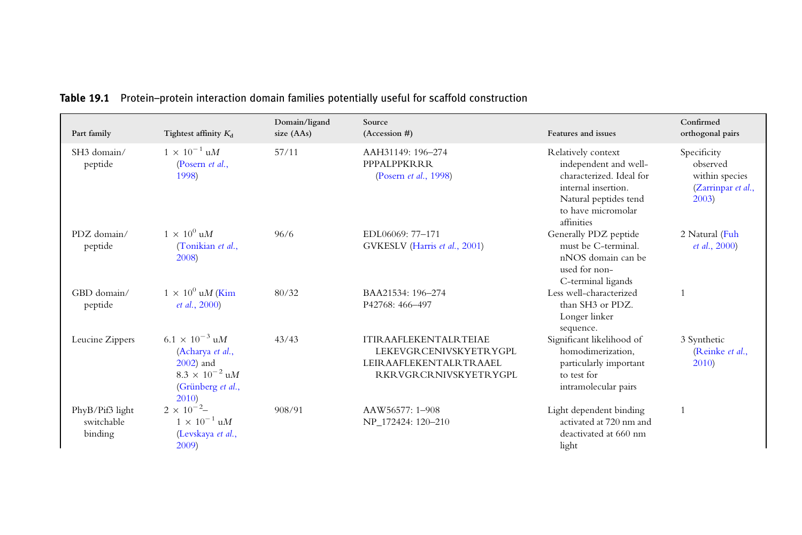| Part family                              | Tightest affinity $K_d$                                                                                              | Domain/ligand<br>size $(AAs)$ | Source<br>$(Accession \#)$                                                                                                   | Features and issues                                                                                                                                         | Confirmed<br>orthogonal pairs                                           |
|------------------------------------------|----------------------------------------------------------------------------------------------------------------------|-------------------------------|------------------------------------------------------------------------------------------------------------------------------|-------------------------------------------------------------------------------------------------------------------------------------------------------------|-------------------------------------------------------------------------|
| SH <sub>3</sub> domain/<br>peptide       | $1 \times 10^{-1}$ uM<br>(Posern et al.,<br>1998)                                                                    | 57/11                         | AAH31149: 196-274<br><b>PPPALPPKRRR</b><br>(Posern et al., 1998)                                                             | Relatively context<br>independent and well-<br>characterized. Ideal for<br>internal insertion.<br>Natural peptides tend<br>to have micromolar<br>affinities | Specificity<br>observed<br>within species<br>(Zarrinpar et al.,<br>2003 |
| PDZ domain/<br>peptide                   | $1 \times 10^0$ uM<br>(Tonikian et al.,<br>2008)                                                                     | 96/6                          | EDL06069: 77-171<br>GVKESLV (Harris et al., 2001)                                                                            | Generally PDZ peptide<br>must be C-terminal.<br>nNOS domain can be<br>used for non-<br>C-terminal ligands                                                   | 2 Natural (Fuh<br><i>et al.</i> , 2000)                                 |
| GBD domain/<br>peptide                   | $1 \times 10^{0}$ uM (Kim)<br><i>et al.</i> , 2000)                                                                  | 80/32                         | BAA21534: 196-274<br>P42768: 466-497                                                                                         | Less well-characterized<br>than SH3 or PDZ.<br>Longer linker<br>sequence.                                                                                   |                                                                         |
| Leucine Zippers                          | $6.1 \times 10^{-3}$ uM<br>(Acharya et al.,<br>$2002$ ) and<br>$8.3 \times 10^{-2}$ uM<br>(Grünberg et al.,<br>2010) | 43/43                         | <b>ITIR A AFLEKENTALR TEIAE</b><br><b>LEKEVGRCENIVSKYETRYGPL</b><br>LEIR AAFLEKENTALR TRAAEL<br><b>RKRVGRCRNIVSKYETRYGPL</b> | Significant likelihood of<br>homodimerization,<br>particularly important<br>to test for<br>intramolecular pairs                                             | 3 Synthetic<br>(Reinke et al.,<br>2010                                  |
| PhyB/Pif3 light<br>switchable<br>binding | $2 \times 10^{-2}$<br>$1 \times 10^{-1}$ uM<br>(Levskaya et al.,<br>2009)                                            | 908/91                        | AAW56577: 1-908<br>NP 172424: 120-210                                                                                        | Light dependent binding<br>activated at 720 nm and<br>deactivated at 660 nm<br>light                                                                        |                                                                         |

#### <span id="page-3-0"></span>**Table 19.1** Protein–protein interaction domain families potentially useful for scaffold construction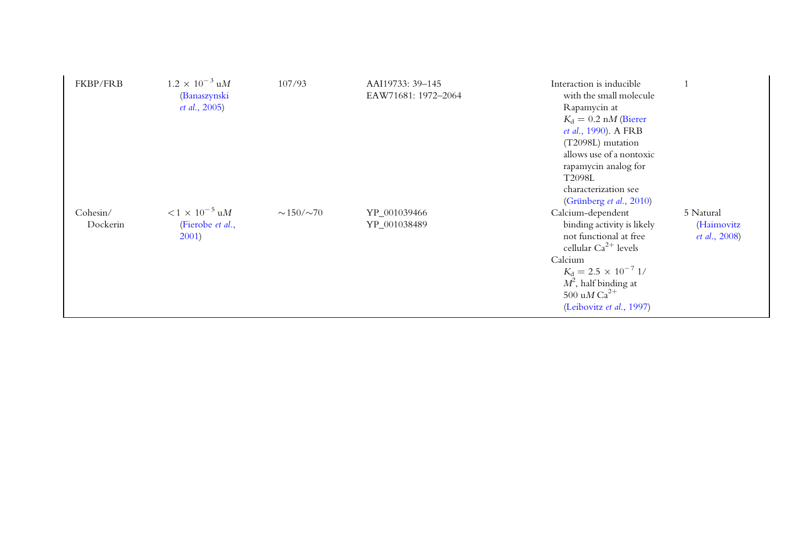| FKBP/FRB             | $1.2 \times 10^{-3}$ uM<br>(Banaszynski<br><i>et al.</i> , $2005$ | 107/93               | AAI19733: 39-145<br>EAW71681: 1972-2064 | Interaction is inducible<br>with the small molecule<br>Rapamycin at<br>$K_d = 0.2$ nM (Bierer<br>et al., 1990). A FRB<br>(T2098L) mutation<br>allows use of a nontoxic<br>rapamycin analog for<br>T2098L<br>characterization see<br>(Grünberg et al., 2010) |                                                  |
|----------------------|-------------------------------------------------------------------|----------------------|-----------------------------------------|-------------------------------------------------------------------------------------------------------------------------------------------------------------------------------------------------------------------------------------------------------------|--------------------------------------------------|
| Cohesin/<br>Dockerin | $< 1 \times 10^{-5}$ uM<br>(Fierobe et al.,<br>2001               | $\sim 150 / \sim 70$ | YP_001039466<br>YP 001038489            | Calcium-dependent<br>binding activity is likely<br>not functional at free<br>cellular $Ca^{2+}$ levels<br>Calcium<br>$K_{\rm d} = 2.5 \times 10^{-7}$ 1/<br>$M^2$ , half binding at<br>500 uM $Ca^{2+}$<br>(Leibovitz et al., 1997)                         | 5 Natural<br>(Haimovitz<br><i>et al.</i> , 2008) |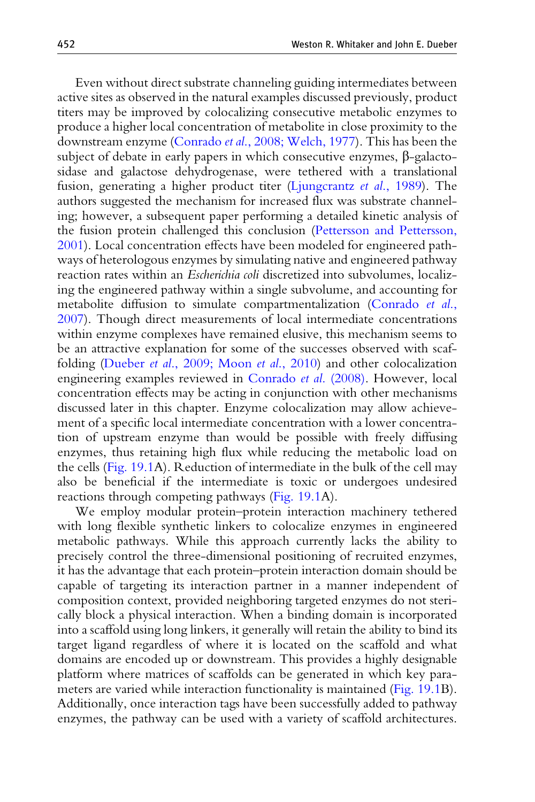Even without direct substrate channeling guiding intermediates between active sites as observed in the natural examples discussed previously, product titers may be improved by colocalizing consecutive metabolic enzymes to produce a higher local concentration of metabolite in close proximity to the downstream enzyme (Conrado et al[., 2008; Welch, 1977\)](#page-19-0). This has been the subject of debate in early papers in which consecutive enzymes,  $\beta$ -galactosidase and galactose dehydrogenase, were tethered with a translational fusion, generating a higher product titer ([Ljungcrantz](#page-20-0) et al., 1989). The authors suggested the mechanism for increased flux was substrate channeling; however, a subsequent paper performing a detailed kinetic analysis of the fusion protein challenged this conclusion [\(Pettersson and Pettersson,](#page-21-0) [2001\)](#page-21-0). Local concentration effects have been modeled for engineered pathways of heterologous enzymes by simulating native and engineered pathway reaction rates within an Escherichia coli discretized into subvolumes, localizing the engineered pathway within a single subvolume, and accounting for metabolite diffusion to simulate compartmentalization ([Conrado](#page-19-0) et al., [2007\)](#page-19-0). Though direct measurements of local intermediate concentrations within enzyme complexes have remained elusive, this mechanism seems to be an attractive explanation for some of the successes observed with scaffolding (Dueber et al[., 2009; Moon](#page-19-0) et al., 2010) and other colocalization engineering examples reviewed in [Conrado](#page-19-0) et al. (2008). However, local concentration effects may be acting in conjunction with other mechanisms discussed later in this chapter. Enzyme colocalization may allow achievement of a specific local intermediate concentration with a lower concentration of upstream enzyme than would be possible with freely diffusing enzymes, thus retaining high flux while reducing the metabolic load on the cells [\(Fig. 19.1](#page-6-0)A). Reduction of intermediate in the bulk of the cell may also be beneficial if the intermediate is toxic or undergoes undesired reactions through competing pathways ([Fig. 19.1](#page-6-0)A).

We employ modular protein–protein interaction machinery tethered with long flexible synthetic linkers to colocalize enzymes in engineered metabolic pathways. While this approach currently lacks the ability to precisely control the three-dimensional positioning of recruited enzymes, it has the advantage that each protein–protein interaction domain should be capable of targeting its interaction partner in a manner independent of composition context, provided neighboring targeted enzymes do not sterically block a physical interaction. When a binding domain is incorporated into a scaffold using long linkers, it generally will retain the ability to bind its target ligand regardless of where it is located on the scaffold and what domains are encoded up or downstream. This provides a highly designable platform where matrices of scaffolds can be generated in which key parameters are varied while interaction functionality is maintained ([Fig. 19.1](#page-6-0)B). Additionally, once interaction tags have been successfully added to pathway enzymes, the pathway can be used with a variety of scaffold architectures.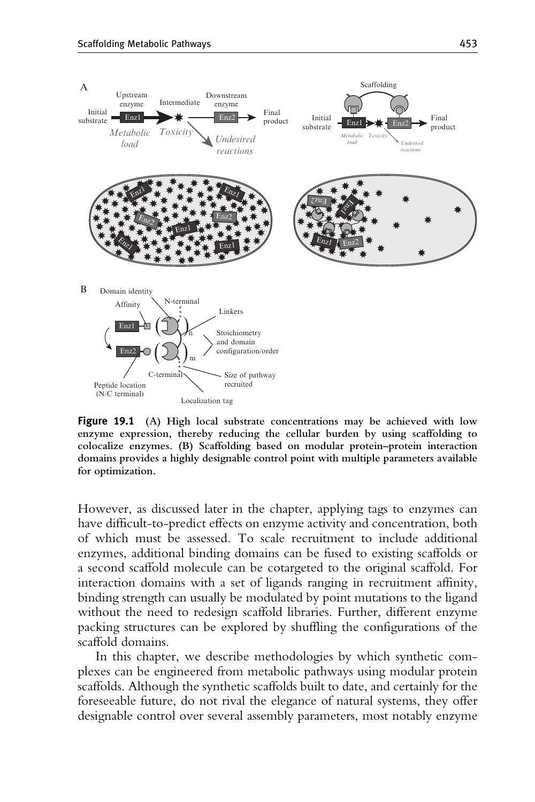<span id="page-6-0"></span>

Figure 19.1 (A) High local substrate concentrations may be achieved with low enzyme expression, thereby reducing the cellular burden by using scaffolding to colocalize enzymes. (B) Scaffolding based on modular protein–protein interaction domains provides a highly designable control point with multiple parameters available for optimization.

However, as discussed later in the chapter, applying tags to enzymes can have difficult-to-predict effects on enzyme activity and concentration, both of which must be assessed. To scale recruitment to include additional enzymes, additional binding domains can be fused to existing scaffolds or a second scaffold molecule can be cotargeted to the original scaffold. For interaction domains with a set of ligands ranging in recruitment affinity, binding strength can usually be modulated by point mutations to the ligand without the need to redesign scaffold libraries. Further, different enzyme packing structures can be explored by shuffling the configurations of the scaffold domains.

In this chapter, we describe methodologies by which synthetic complexes can be engineered from metabolic pathways using modular protein scaffolds. Although the synthetic scaffolds built to date, and certainly for the foreseeable future, do not rival the elegance of natural systems, they offer designable control over several assembly parameters, most notably enzyme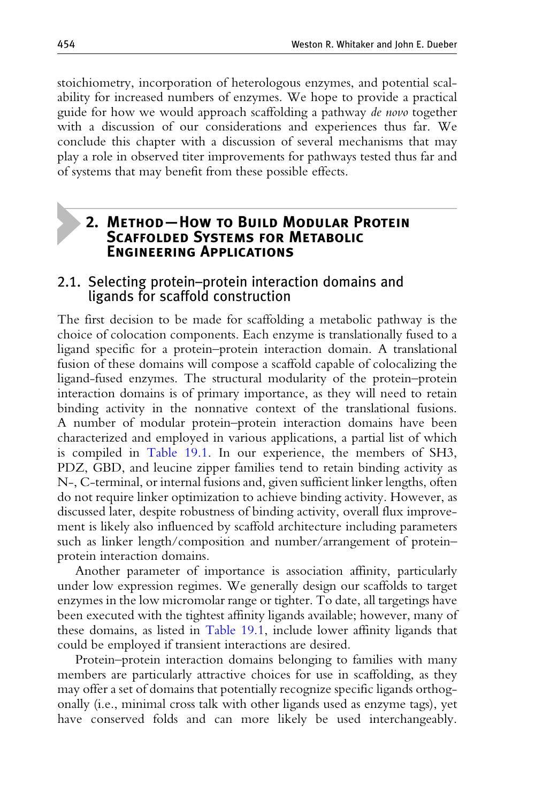stoichiometry, incorporation of heterologous enzymes, and potential scalability for increased numbers of enzymes. We hope to provide a practical guide for how we would approach scaffolding a pathway de novo together with a discussion of our considerations and experiences thus far. We conclude this chapter with a discussion of several mechanisms that may play a role in observed titer improvements for pathways tested thus far and of systems that may benefit from these possible effects.

## 2. Method—How to Build Modular Protein Scaffolded Systems for Metabolic Engineering Applications

#### 2.1. Selecting protein–protein interaction domains and ligands for scaffold construction

The first decision to be made for scaffolding a metabolic pathway is the choice of colocation components. Each enzyme is translationally fused to a ligand specific for a protein–protein interaction domain. A translational fusion of these domains will compose a scaffold capable of colocalizing the ligand-fused enzymes. The structural modularity of the protein–protein interaction domains is of primary importance, as they will need to retain binding activity in the nonnative context of the translational fusions. A number of modular protein–protein interaction domains have been characterized and employed in various applications, a partial list of which is compiled in [Table 19.1.](#page-3-0) In our experience, the members of SH3, PDZ, GBD, and leucine zipper families tend to retain binding activity as N-, C-terminal, or internal fusions and, given sufficient linker lengths, often do not require linker optimization to achieve binding activity. However, as discussed later, despite robustness of binding activity, overall flux improvement is likely also influenced by scaffold architecture including parameters such as linker length/composition and number/arrangement of protein– protein interaction domains.

Another parameter of importance is association affinity, particularly under low expression regimes. We generally design our scaffolds to target enzymes in the low micromolar range or tighter. To date, all targetings have been executed with the tightest affinity ligands available; however, many of these domains, as listed in [Table 19.1](#page-3-0), include lower affinity ligands that could be employed if transient interactions are desired.

Protein–protein interaction domains belonging to families with many members are particularly attractive choices for use in scaffolding, as they may offer a set of domains that potentially recognize specific ligands orthogonally (i.e., minimal cross talk with other ligands used as enzyme tags), yet have conserved folds and can more likely be used interchangeably.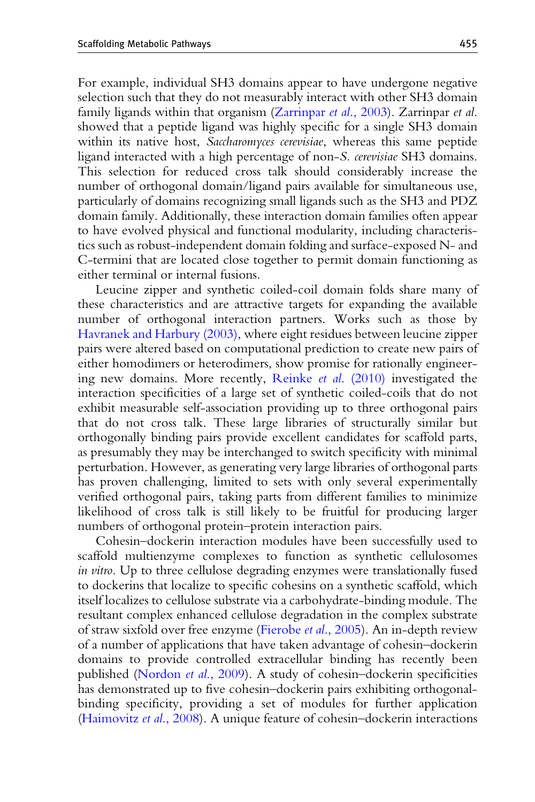For example, individual SH3 domains appear to have undergone negative selection such that they do not measurably interact with other SH3 domain family ligands within that organism ([Zarrinpar](#page-21-0) et al., 2003). Zarrinpar et al. showed that a peptide ligand was highly specific for a single SH3 domain within its native host, Saccharomyces cerevisiae, whereas this same peptide ligand interacted with a high percentage of non-S. cerevisiae SH3 domains. This selection for reduced cross talk should considerably increase the number of orthogonal domain/ligand pairs available for simultaneous use, particularly of domains recognizing small ligands such as the SH3 and PDZ domain family. Additionally, these interaction domain families often appear to have evolved physical and functional modularity, including characteristics such as robust-independent domain folding and surface-exposed N- and C-termini that are located close together to permit domain functioning as either terminal or internal fusions.

Leucine zipper and synthetic coiled-coil domain folds share many of these characteristics and are attractive targets for expanding the available number of orthogonal interaction partners. Works such as those by [Havranek and Harbury \(2003\),](#page-20-0) where eight residues between leucine zipper pairs were altered based on computational prediction to create new pairs of either homodimers or heterodimers, show promise for rationally engineering new domains. More recently, Reinke et al[. \(2010\)](#page-21-0) investigated the interaction specificities of a large set of synthetic coiled-coils that do not exhibit measurable self-association providing up to three orthogonal pairs that do not cross talk. These large libraries of structurally similar but orthogonally binding pairs provide excellent candidates for scaffold parts, as presumably they may be interchanged to switch specificity with minimal perturbation. However, as generating very large libraries of orthogonal parts has proven challenging, limited to sets with only several experimentally verified orthogonal pairs, taking parts from different families to minimize likelihood of cross talk is still likely to be fruitful for producing larger numbers of orthogonal protein–protein interaction pairs.

Cohesin–dockerin interaction modules have been successfully used to scaffold multienzyme complexes to function as synthetic cellulosomes in vitro. Up to three cellulose degrading enzymes were translationally fused to dockerins that localize to specific cohesins on a synthetic scaffold, which itself localizes to cellulose substrate via a carbohydrate-binding module. The resultant complex enhanced cellulose degradation in the complex substrate of straw sixfold over free enzyme [\(Fierobe](#page-20-0) et al., 2005). An in-depth review of a number of applications that have taken advantage of cohesin–dockerin domains to provide controlled extracellular binding has recently been published [\(Nordon](#page-21-0) et al., 2009). A study of cohesin–dockerin specificities has demonstrated up to five cohesin–dockerin pairs exhibiting orthogonalbinding specificity, providing a set of modules for further application [\(Haimovitz](#page-20-0) et al., 2008). A unique feature of cohesin-dockerin interactions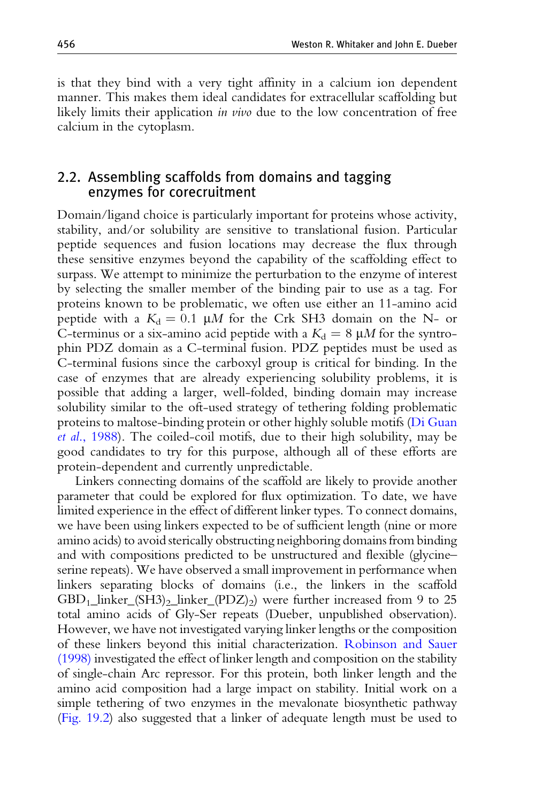is that they bind with a very tight affinity in a calcium ion dependent manner. This makes them ideal candidates for extracellular scaffolding but likely limits their application *in vivo* due to the low concentration of free calcium in the cytoplasm.

## 2.2. Assembling scaffolds from domains and tagging enzymes for corecruitment

Domain/ligand choice is particularly important for proteins whose activity, stability, and/or solubility are sensitive to translational fusion. Particular peptide sequences and fusion locations may decrease the flux through these sensitive enzymes beyond the capability of the scaffolding effect to surpass. We attempt to minimize the perturbation to the enzyme of interest by selecting the smaller member of the binding pair to use as a tag. For proteins known to be problematic, we often use either an 11-amino acid peptide with a  $K_d = 0.1 \mu M$  for the Crk SH3 domain on the N- or C-terminus or a six-amino acid peptide with a  $K_d = 8 \mu M$  for the syntrophin PDZ domain as a C-terminal fusion. PDZ peptides must be used as C-terminal fusions since the carboxyl group is critical for binding. In the case of enzymes that are already experiencing solubility problems, it is possible that adding a larger, well-folded, binding domain may increase solubility similar to the oft-used strategy of tethering folding problematic proteins to maltose-binding protein or other highly soluble motifs ([Di Guan](#page-19-0) et al[., 1988\)](#page-19-0). The coiled-coil motifs, due to their high solubility, may be good candidates to try for this purpose, although all of these efforts are protein-dependent and currently unpredictable.

Linkers connecting domains of the scaffold are likely to provide another parameter that could be explored for flux optimization. To date, we have limited experience in the effect of different linker types. To connect domains, we have been using linkers expected to be of sufficient length (nine or more amino acids) to avoid sterically obstructing neighboring domains from binding and with compositions predicted to be unstructured and flexible (glycine– serine repeats). We have observed a small improvement in performance when linkers separating blocks of domains (i.e., the linkers in the scaffold  $GBD_1$ \_linker\_(SH3)<sub>2</sub>\_linker\_(PDZ)<sub>2</sub>) were further increased from 9 to 25 total amino acids of Gly-Ser repeats (Dueber, unpublished observation). However, we have not investigated varying linker lengths or the composition of these linkers beyond this initial characterization. [Robinson and Sauer](#page-21-0) [\(1998\)](#page-21-0) investigated the effect of linker length and composition on the stability of single-chain Arc repressor. For this protein, both linker length and the amino acid composition had a large impact on stability. Initial work on a simple tethering of two enzymes in the mevalonate biosynthetic pathway ([Fig. 19.2](#page-10-0)) also suggested that a linker of adequate length must be used to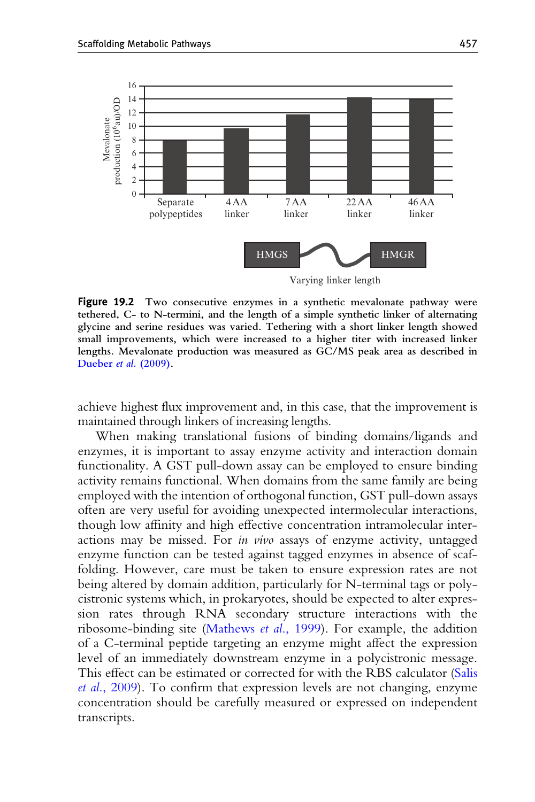<span id="page-10-0"></span>

Varying linker length

Figure 19.2 Two consecutive enzymes in a synthetic mevalonate pathway were tethered, C- to N-termini, and the length of a simple synthetic linker of alternating glycine and serine residues was varied. Tethering with a short linker length showed small improvements, which were increased to a higher titer with increased linker lengths. Mevalonate production was measured as GC/MS peak area as described in [Dueber](#page-19-0) *et al.* (2009).

achieve highest flux improvement and, in this case, that the improvement is maintained through linkers of increasing lengths.

When making translational fusions of binding domains/ligands and enzymes, it is important to assay enzyme activity and interaction domain functionality. A GST pull-down assay can be employed to ensure binding activity remains functional. When domains from the same family are being employed with the intention of orthogonal function, GST pull-down assays often are very useful for avoiding unexpected intermolecular interactions, though low affinity and high effective concentration intramolecular interactions may be missed. For in vivo assays of enzyme activity, untagged enzyme function can be tested against tagged enzymes in absence of scaffolding. However, care must be taken to ensure expression rates are not being altered by domain addition, particularly for N-terminal tags or polycistronic systems which, in prokaryotes, should be expected to alter expression rates through RNA secondary structure interactions with the ribosome-binding site [\(Mathews](#page-20-0) et al., 1999). For example, the addition of a C-terminal peptide targeting an enzyme might affect the expression level of an immediately downstream enzyme in a polycistronic message. This effect can be estimated or corrected for with the RBS calculator [\(Salis](#page-21-0) et al[., 2009\)](#page-21-0). To confirm that expression levels are not changing, enzyme concentration should be carefully measured or expressed on independent transcripts.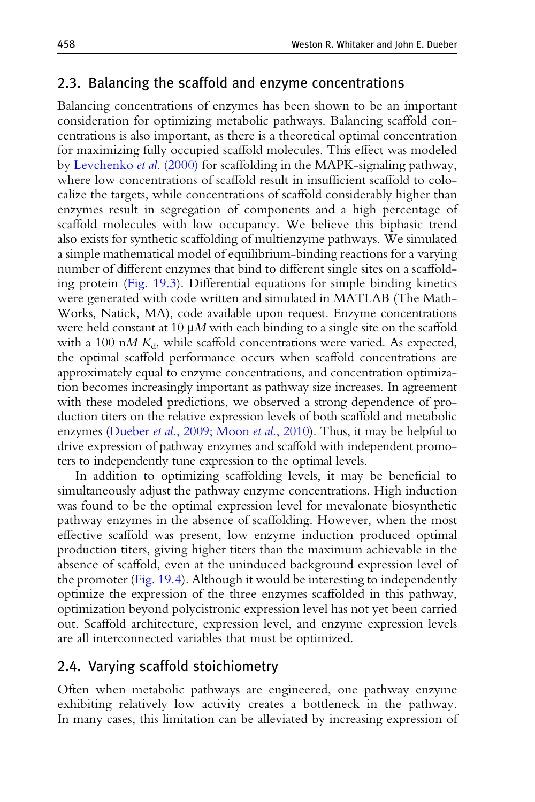#### 2.3. Balancing the scaffold and enzyme concentrations

Balancing concentrations of enzymes has been shown to be an important consideration for optimizing metabolic pathways. Balancing scaffold concentrations is also important, as there is a theoretical optimal concentration for maximizing fully occupied scaffold molecules. This effect was modeled by [Levchenko](#page-20-0) et al. (2000) for scaffolding in the MAPK-signaling pathway, where low concentrations of scaffold result in insufficient scaffold to colocalize the targets, while concentrations of scaffold considerably higher than enzymes result in segregation of components and a high percentage of scaffold molecules with low occupancy. We believe this biphasic trend also exists for synthetic scaffolding of multienzyme pathways. We simulated a simple mathematical model of equilibrium-binding reactions for a varying number of different enzymes that bind to different single sites on a scaffolding protein ([Fig. 19.3](#page-12-0)). Differential equations for simple binding kinetics were generated with code written and simulated in MATLAB (The Math-Works, Natick, MA), code available upon request. Enzyme concentrations were held constant at 10  $\mu$ M with each binding to a single site on the scaffold with a 100 nM  $K_d$ , while scaffold concentrations were varied. As expected, the optimal scaffold performance occurs when scaffold concentrations are approximately equal to enzyme concentrations, and concentration optimization becomes increasingly important as pathway size increases. In agreement with these modeled predictions, we observed a strong dependence of production titers on the relative expression levels of both scaffold and metabolic enzymes (Dueber *et al.*, 2009; Moon *et al.*, 2010). Thus, it may be helpful to drive expression of pathway enzymes and scaffold with independent promoters to independently tune expression to the optimal levels.

In addition to optimizing scaffolding levels, it may be beneficial to simultaneously adjust the pathway enzyme concentrations. High induction was found to be the optimal expression level for mevalonate biosynthetic pathway enzymes in the absence of scaffolding. However, when the most effective scaffold was present, low enzyme induction produced optimal production titers, giving higher titers than the maximum achievable in the absence of scaffold, even at the uninduced background expression level of the promoter ([Fig. 19.4](#page-13-0)). Although it would be interesting to independently optimize the expression of the three enzymes scaffolded in this pathway, optimization beyond polycistronic expression level has not yet been carried out. Scaffold architecture, expression level, and enzyme expression levels are all interconnected variables that must be optimized.

#### 2.4. Varying scaffold stoichiometry

Often when metabolic pathways are engineered, one pathway enzyme exhibiting relatively low activity creates a bottleneck in the pathway. In many cases, this limitation can be alleviated by increasing expression of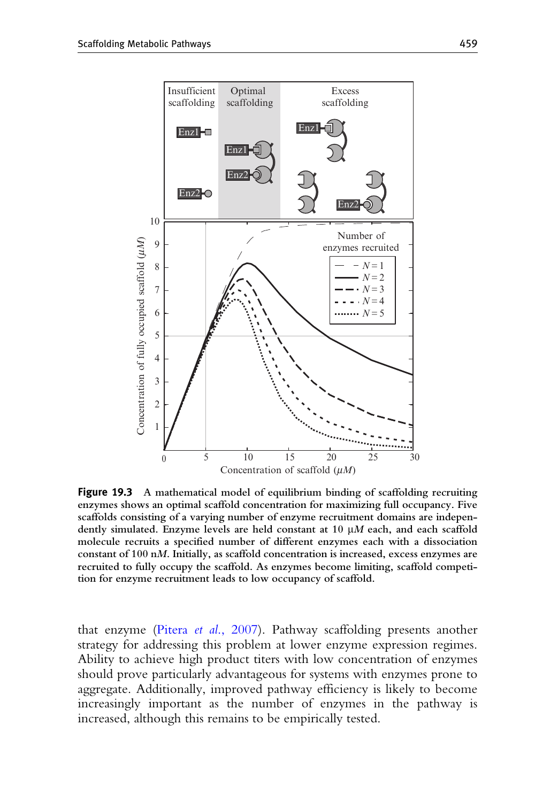<span id="page-12-0"></span>

**Figure 19.3** A mathematical model of equilibrium binding of scaffolding recruiting enzymes shows an optimal scaffold concentration for maximizing full occupancy. Five scaffolds consisting of a varying number of enzyme recruitment domains are independently simulated. Enzyme levels are held constant at 10  $\mu$ M each, and each scaffold molecule recruits a specified number of different enzymes each with a dissociation constant of 100 nM. Initially, as scaffold concentration is increased, excess enzymes are recruited to fully occupy the scaffold. As enzymes become limiting, scaffold competition for enzyme recruitment leads to low occupancy of scaffold.

that enzyme (Pitera et al[., 2007](#page-21-0)). Pathway scaffolding presents another strategy for addressing this problem at lower enzyme expression regimes. Ability to achieve high product titers with low concentration of enzymes should prove particularly advantageous for systems with enzymes prone to aggregate. Additionally, improved pathway efficiency is likely to become increasingly important as the number of enzymes in the pathway is increased, although this remains to be empirically tested.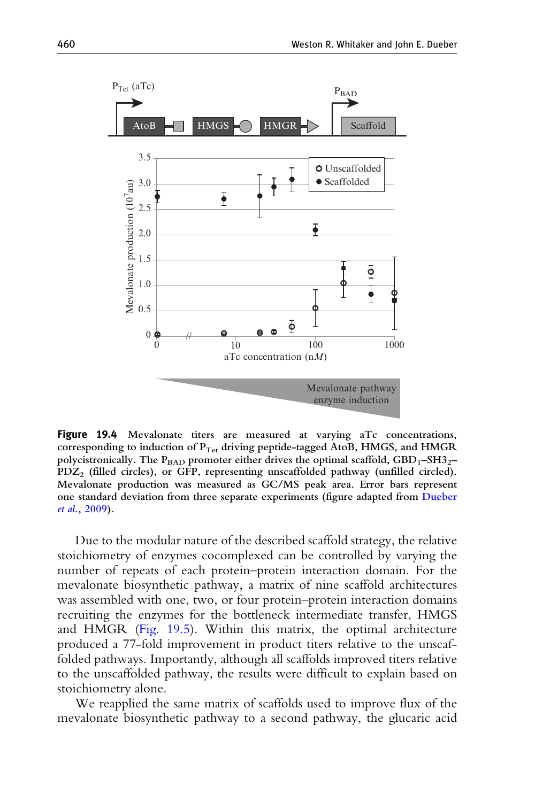<span id="page-13-0"></span>

Figure <sup>19</sup>.<sup>4</sup> Mevalonate titers are measured at varying aTc concentrations, corresponding to induction of  $P_{Tet}$  driving peptide-tagged AtoB, HMGS, and HMGR polycistronically. The  $P_{\text{BAD}}$  promoter either drives the optimal scaffold,  $\text{GBD}_1\text{-SH3}_2\text{-}$ PDZ2 (filled circles), or GFP, representing unscaffolded pathway (unfilled circled). Mevalonate production was measured as GC/MS peak area. Error bars represent one standard deviation from three separate experiments (figure adapted from [Dueber](#page-19-0) et al.[, 2009\)](#page-19-0).

Due to the modular nature of the described scaffold strategy, the relative stoichiometry of enzymes cocomplexed can be controlled by varying the number of repeats of each protein–protein interaction domain. For the mevalonate biosynthetic pathway, a matrix of nine scaffold architectures was assembled with one, two, or four protein–protein interaction domains recruiting the enzymes for the bottleneck intermediate transfer, HMGS and HMGR [\(Fig. 19.5\)](#page-14-0). Within this matrix, the optimal architecture produced a 77-fold improvement in product titers relative to the unscaffolded pathways. Importantly, although all scaffolds improved titers relative to the unscaffolded pathway, the results were difficult to explain based on stoichiometry alone.

We reapplied the same matrix of scaffolds used to improve flux of the mevalonate biosynthetic pathway to a second pathway, the glucaric acid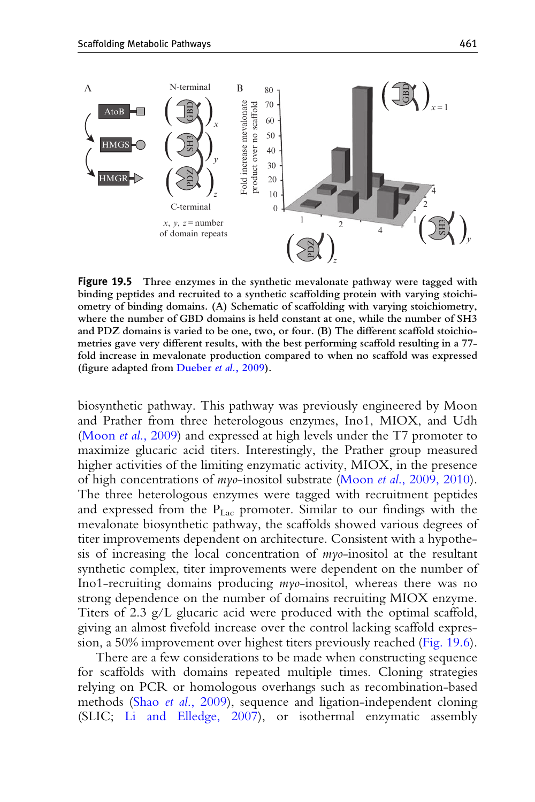<span id="page-14-0"></span>

**Figure 19.5** Three enzymes in the synthetic mevalonate pathway were tagged with binding peptides and recruited to a synthetic scaffolding protein with varying stoichiometry of binding domains. (A) Schematic of scaffolding with varying stoichiometry, where the number of GBD domains is held constant at one, while the number of SH3 and PDZ domains is varied to be one, two, or four. (B) The different scaffold stoichiometries gave very different results, with the best performing scaffold resulting in a 77 fold increase in mevalonate production compared to when no scaffold was expressed (figure adapted from [Dueber](#page-19-0) et al., 2009).

biosynthetic pathway. This pathway was previously engineered by Moon and Prather from three heterologous enzymes, Ino1, MIOX, and Udh (Moon *et al.*, 2009) and expressed at high levels under the T7 promoter to maximize glucaric acid titers. Interestingly, the Prather group measured higher activities of the limiting enzymatic activity, MIOX, in the presence of high concentrations of *myo*-inositol substrate (Moon *et al.*, 2009, 2010). The three heterologous enzymes were tagged with recruitment peptides and expressed from the  $P_{Lac}$  promoter. Similar to our findings with the mevalonate biosynthetic pathway, the scaffolds showed various degrees of titer improvements dependent on architecture. Consistent with a hypothesis of increasing the local concentration of myo-inositol at the resultant synthetic complex, titer improvements were dependent on the number of Ino1-recruiting domains producing myo-inositol, whereas there was no strong dependence on the number of domains recruiting MIOX enzyme. Titers of 2.3 g/L glucaric acid were produced with the optimal scaffold, giving an almost fivefold increase over the control lacking scaffold expression, a 50% improvement over highest titers previously reached [\(Fig. 19.6](#page-15-0)).

There are a few considerations to be made when constructing sequence for scaffolds with domains repeated multiple times. Cloning strategies relying on PCR or homologous overhangs such as recombination-based methods (Shao et al[., 2009](#page-21-0)), sequence and ligation-independent cloning (SLIC; [Li and Elledge, 2007](#page-20-0)), or isothermal enzymatic assembly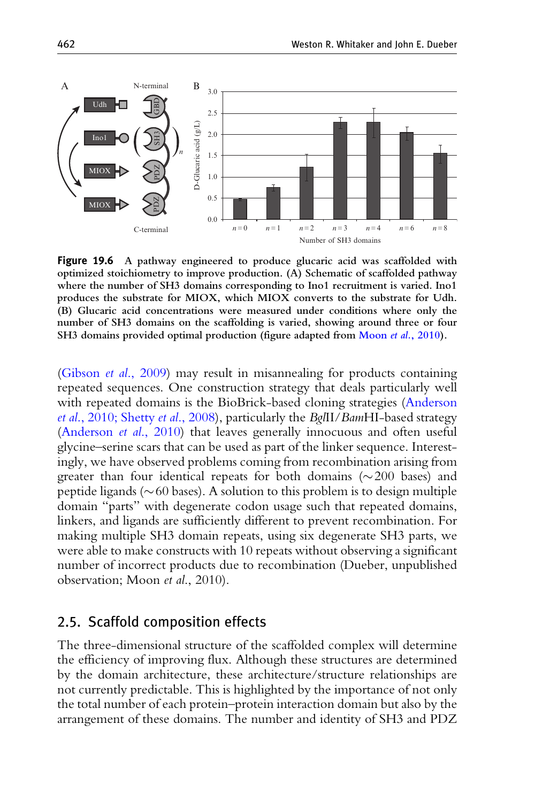<span id="page-15-0"></span>

Figure 19.6 A pathway engineered to produce glucaric acid was scaffolded with optimized stoichiometry to improve production. (A) Schematic of scaffolded pathway where the number of SH3 domains corresponding to Ino1 recruitment is varied. Ino1 produces the substrate for MIOX, which MIOX converts to the substrate for Udh. (B) Glucaric acid concentrations were measured under conditions where only the number of SH3 domains on the scaffolding is varied, showing around three or four SH3 domains provided optimal production (figure adapted from Moon et al.[, 2010](#page-20-0)).

(Gibson et al[., 2009](#page-20-0)) may result in misannealing for products containing repeated sequences. One construction strategy that deals particularly well with repeated domains is the BioBrick-based cloning strategies [\(Anderson](#page-19-0) et al[., 2010; Shetty](#page-19-0) et al., 2008), particularly the BglII/BamHI-based strategy ([Anderson](#page-19-0) et al., 2010) that leaves generally innocuous and often useful glycine–serine scars that can be used as part of the linker sequence. Interestingly, we have observed problems coming from recombination arising from greater than four identical repeats for both domains  $(\sim 200$  bases) and peptide ligands ( $\sim 60$  bases). A solution to this problem is to design multiple domain "parts" with degenerate codon usage such that repeated domains, linkers, and ligands are sufficiently different to prevent recombination. For making multiple SH3 domain repeats, using six degenerate SH3 parts, we were able to make constructs with 10 repeats without observing a significant number of incorrect products due to recombination (Dueber, unpublished observation; Moon et al., 2010). **EXAMPLE AND SH3**<br> **EXAMPLE AND A POSSET CONSERVATION CONSERVATION** (Superior and in the number of these domains of these domains of the number and in the number of SH3 domains or<br> **Figure 1966** A pathway engineered to pr

#### 2.5. Scaffold composition effects

The three-dimensional structure of the scaffolded complex will determine the efficiency of improving flux. Although these structures are determined by the domain architecture, these architecture/structure relationships are not currently predictable. This is highlighted by the importance of not only the total number of each protein–protein interaction domain but also by the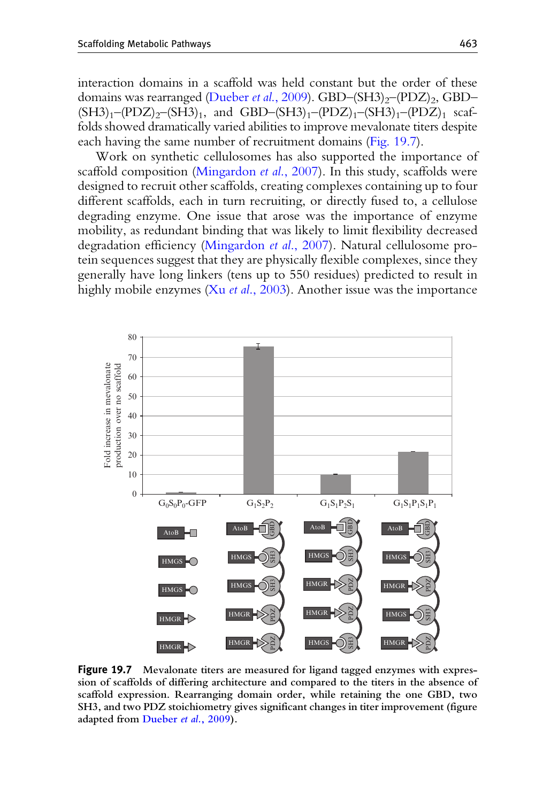interaction domains in a scaffold was held constant but the order of these domains was rearranged ([Dueber](#page-19-0) *et al.*, 2009). GBD–(SH3) $\rightarrow$ (PDZ)<sub>2</sub>, GBD–  $(SH3)<sub>1</sub>-(PDZ)<sub>2</sub>-(SH3)<sub>1</sub>$ , and  $GBD-(SH3)<sub>1</sub>-(PDZ)<sub>1</sub>-(PDZ)<sub>1</sub>$  scaffolds showed dramatically varied abilities to improve mevalonate titers despite each having the same number of recruitment domains (Fig. 19.7).

Work on synthetic cellulosomes has also supported the importance of scaffold composition [\(Mingardon](#page-20-0) *et al.*, 2007). In this study, scaffolds were designed to recruit other scaffolds, creating complexes containing up to four different scaffolds, each in turn recruiting, or directly fused to, a cellulose degrading enzyme. One issue that arose was the importance of enzyme mobility, as redundant binding that was likely to limit flexibility decreased degradation efficiency [\(Mingardon](#page-20-0) et al., 2007). Natural cellulosome protein sequences suggest that they are physically flexible complexes, since they generally have long linkers (tens up to 550 residues) predicted to result in highly mobile enzymes (Xu et al[., 2003](#page-21-0)). Another issue was the importance



Figure 19.7 Mevalonate titers are measured for ligand tagged enzymes with expression of scaffolds of differing architecture and compared to the titers in the absence of scaffold expression. Rearranging domain order, while retaining the one GBD, two SH3, and two PDZ stoichiometry gives significant changes in titer improvement (figure adapted from [Dueber](#page-19-0) et al., 2009).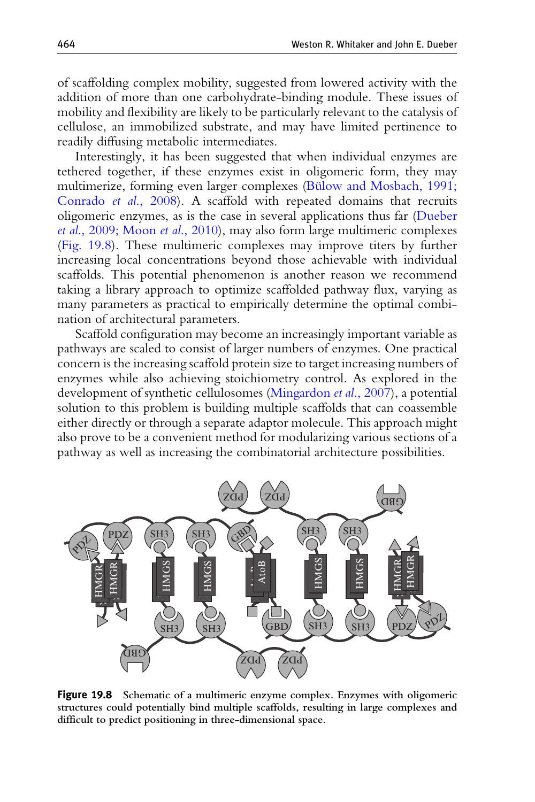of scaffolding complex mobility, suggested from lowered activity with the addition of more than one carbohydrate-binding module. These issues of mobility and flexibility are likely to be particularly relevant to the catalysis of cellulose, an immobilized substrate, and may have limited pertinence to readily diffusing metabolic intermediates.

Interestingly, it has been suggested that when individual enzymes are tethered together, if these enzymes exist in oligomeric form, they may multimerize, forming even larger complexes (Bülow and Mosbach, 1991; [Conrado](#page-19-0) et al., 2008). A scaffold with repeated domains that recruits oligomeric enzymes, as is the case in several applications thus far [\(Dueber](#page-19-0) et al[., 2009; Moon](#page-19-0) et al., 2010), may also form large multimeric complexes (Fig. 19.8). These multimeric complexes may improve titers by further increasing local concentrations beyond those achievable with individual scaffolds. This potential phenomenon is another reason we recommend taking a library approach to optimize scaffolded pathway flux, varying as many parameters as practical to empirically determine the optimal combination of architectural parameters.

Scaffold configuration may become an increasingly important variable as pathways are scaled to consist of larger numbers of enzymes. One practical concern is the increasing scaffold protein size to target increasing numbers of enzymes while also achieving stoichiometry control. As explored in the development of synthetic cellulosomes [\(Mingardon](#page-20-0) et al., 2007), a potential solution to this problem is building multiple scaffolds that can coassemble either directly or through a separate adaptor molecule. This approach might also prove to be a convenient method for modularizing various sections of a pathway as well as increasing the combinatorial architecture possibilities.



Figure <sup>19</sup>.<sup>8</sup> Schematic of a multimeric enzyme complex. Enzymes with oligomeric structures could potentially bind multiple scaffolds, resulting in large complexes and difficult to predict positioning in three-dimensional space.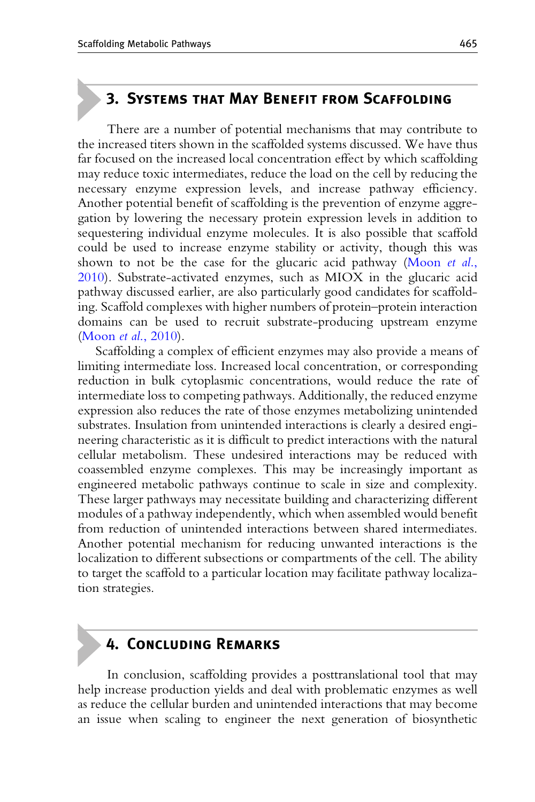# 3. Systems that May Benefit from Scaffolding

There are a number of potential mechanisms that may contribute to the increased titers shown in the scaffolded systems discussed. We have thus far focused on the increased local concentration effect by which scaffolding may reduce toxic intermediates, reduce the load on the cell by reducing the necessary enzyme expression levels, and increase pathway efficiency. Another potential benefit of scaffolding is the prevention of enzyme aggregation by lowering the necessary protein expression levels in addition to sequestering individual enzyme molecules. It is also possible that scaffold could be used to increase enzyme stability or activity, though this was shown to not be the case for the glucaric acid pathway ([Moon](#page-20-0) *et al.*, [2010](#page-20-0)). Substrate-activated enzymes, such as MIOX in the glucaric acid pathway discussed earlier, are also particularly good candidates for scaffolding. Scaffold complexes with higher numbers of protein–protein interaction domains can be used to recruit substrate-producing upstream enzyme (Moon et al[., 2010](#page-20-0)).

Scaffolding a complex of efficient enzymes may also provide a means of limiting intermediate loss. Increased local concentration, or corresponding reduction in bulk cytoplasmic concentrations, would reduce the rate of intermediate loss to competing pathways. Additionally, the reduced enzyme expression also reduces the rate of those enzymes metabolizing unintended substrates. Insulation from unintended interactions is clearly a desired engineering characteristic as it is difficult to predict interactions with the natural cellular metabolism. These undesired interactions may be reduced with coassembled enzyme complexes. This may be increasingly important as engineered metabolic pathways continue to scale in size and complexity. These larger pathways may necessitate building and characterizing different modules of a pathway independently, which when assembled would benefit from reduction of unintended interactions between shared intermediates. Another potential mechanism for reducing unwanted interactions is the localization to different subsections or compartments of the cell. The ability to target the scaffold to a particular location may facilitate pathway localization strategies.

## 4. Concluding Remarks

In conclusion, scaffolding provides a posttranslational tool that may help increase production yields and deal with problematic enzymes as well as reduce the cellular burden and unintended interactions that may become an issue when scaling to engineer the next generation of biosynthetic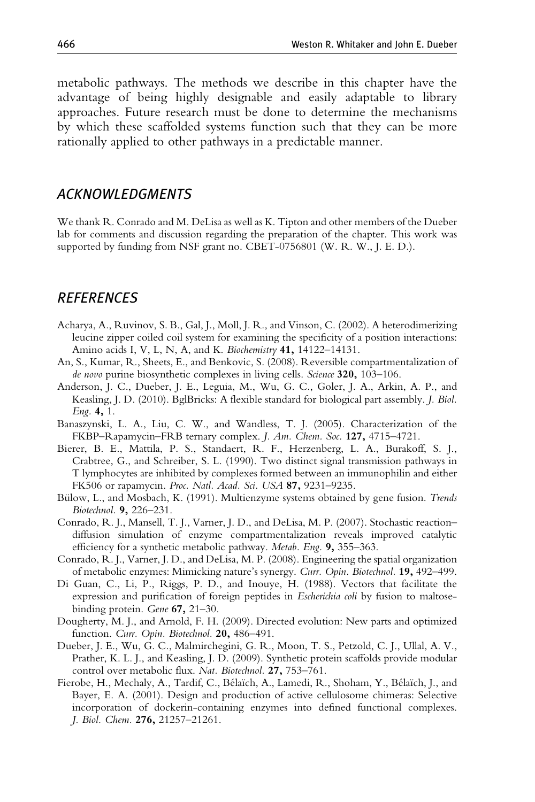<span id="page-19-0"></span>metabolic pathways. The methods we describe in this chapter have the advantage of being highly designable and easily adaptable to library approaches. Future research must be done to determine the mechanisms by which these scaffolded systems function such that they can be more rationally applied to other pathways in a predictable manner.

#### ACKNOWLEDGMENTS

We thank R. Conrado and M. DeLisa as well as K. Tipton and other members of the Dueber lab for comments and discussion regarding the preparation of the chapter. This work was supported by funding from NSF grant no. CBET-0756801 (W. R. W., J. E. D.).

#### **REFERENCES**

- Acharya, A., Ruvinov, S. B., Gal, J., Moll, J. R., and Vinson, C. (2002). A heterodimerizing leucine zipper coiled coil system for examining the specificity of a position interactions: Amino acids I, V, L, N, A, and K. Biochemistry 41, 14122–14131.
- An, S., Kumar, R., Sheets, E., and Benkovic, S. (2008). Reversible compartmentalization of de novo purine biosynthetic complexes in living cells. Science 320, 103-106.
- Anderson, J. C., Dueber, J. E., Leguia, M., Wu, G. C., Goler, J. A., Arkin, A. P., and Keasling, J. D. (2010). BglBricks: A flexible standard for biological part assembly. J. Biol. Eng. 4, 1.
- Banaszynski, L. A., Liu, C. W., and Wandless, T. J. (2005). Characterization of the FKBP–Rapamycin–FRB ternary complex. J. Am. Chem. Soc. 127, 4715–4721.
- Bierer, B. E., Mattila, P. S., Standaert, R. F., Herzenberg, L. A., Burakoff, S. J., Crabtree, G., and Schreiber, S. L. (1990). Two distinct signal transmission pathways in T lymphocytes are inhibited by complexes formed between an immunophilin and either FK506 or rapamycin. Proc. Natl. Acad. Sci. USA 87, 9231–9235.
- Bülow, L., and Mosbach, K. (1991). Multienzyme systems obtained by gene fusion. Trends Biotechnol. 9, 226–231.
- Conrado, R. J., Mansell, T. J., Varner, J. D., and DeLisa, M. P. (2007). Stochastic reaction– diffusion simulation of enzyme compartmentalization reveals improved catalytic efficiency for a synthetic metabolic pathway. Metab. Eng. 9, 355–363.
- Conrado, R. J., Varner, J. D., and DeLisa, M. P. (2008). Engineering the spatial organization of metabolic enzymes: Mimicking nature's synergy. Curr. Opin. Biotechnol. 19, 492–499.
- Di Guan, C., Li, P., Riggs, P. D., and Inouye, H. (1988). Vectors that facilitate the expression and purification of foreign peptides in Escherichia coli by fusion to maltosebinding protein. *Gene* **67,** 21–30.
- Dougherty, M. J., and Arnold, F. H. (2009). Directed evolution: New parts and optimized function. Curr. Opin. Biotechnol. 20, 486–491.
- Dueber, J. E., Wu, G. C., Malmirchegini, G. R., Moon, T. S., Petzold, C. J., Ullal, A. V., Prather, K. L. J., and Keasling, J. D. (2009). Synthetic protein scaffolds provide modular control over metabolic flux. Nat. Biotechnol. 27, 753–761.
- Fierobe, H., Mechaly, A., Tardif, C., Bélaïch, A., Lamedi, R., Shoham, Y., Bélaïch, J., and Bayer, E. A. (2001). Design and production of active cellulosome chimeras: Selective incorporation of dockerin-containing enzymes into defined functional complexes. J. Biol. Chem. 276, 21257–21261.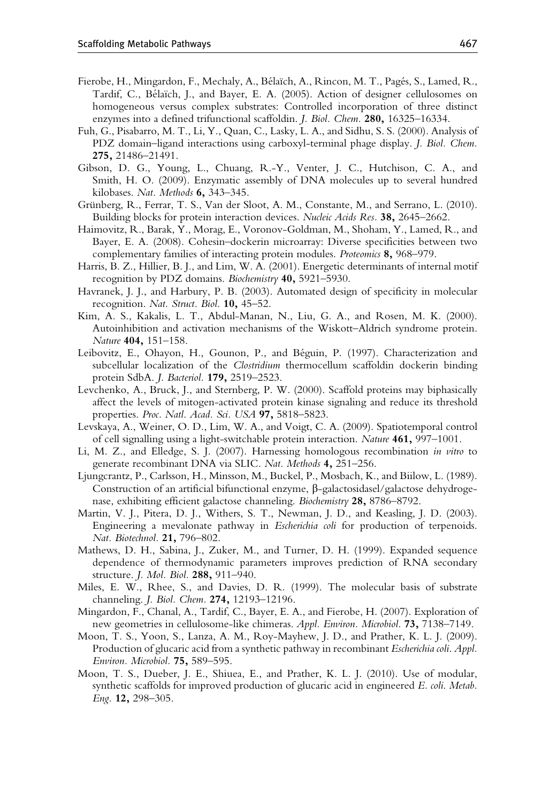- <span id="page-20-0"></span>Fierobe, H., Mingardon, F., Mechaly, A., Bélaïch, A., Rincon, M. T., Pagés, S., Lamed, R., Tardif, C., Bélaïch, J., and Bayer, E. A. (2005). Action of designer cellulosomes on homogeneous versus complex substrates: Controlled incorporation of three distinct enzymes into a defined trifunctional scaffoldin. J. Biol. Chem. 280, 16325-16334.
- Fuh, G., Pisabarro, M. T., Li, Y., Quan, C., Lasky, L. A., and Sidhu, S. S. (2000). Analysis of PDZ domain–ligand interactions using carboxyl-terminal phage display. J. Biol. Chem. 275, 21486–21491.
- Gibson, D. G., Young, L., Chuang, R.-Y., Venter, J. C., Hutchison, C. A., and Smith, H. O. (2009). Enzymatic assembly of DNA molecules up to several hundred kilobases. Nat. Methods 6, 343–345.
- Grünberg, R., Ferrar, T. S., Van der Sloot, A. M., Constante, M., and Serrano, L. (2010). Building blocks for protein interaction devices. Nucleic Acids Res. 38, 2645–2662.
- Haimovitz, R., Barak, Y., Morag, E., Voronov-Goldman, M., Shoham, Y., Lamed, R., and Bayer, E. A. (2008). Cohesin–dockerin microarray: Diverse specificities between two complementary families of interacting protein modules. Proteomics 8, 968–979.
- Harris, B. Z., Hillier, B. J., and Lim, W. A. (2001). Energetic determinants of internal motif recognition by PDZ domains. Biochemistry 40, 5921–5930.
- Havranek, J. J., and Harbury, P. B. (2003). Automated design of specificity in molecular recognition. Nat. Struct. Biol. 10, 45–52.
- Kim, A. S., Kakalis, L. T., Abdul-Manan, N., Liu, G. A., and Rosen, M. K. (2000). Autoinhibition and activation mechanisms of the Wiskott–Aldrich syndrome protein. Nature 404, 151–158.
- Leibovitz, E., Ohayon, H., Gounon, P., and Béguin, P. (1997). Characterization and subcellular localization of the Clostridium thermocellum scaffoldin dockerin binding protein SdbA. J. Bacteriol. 179, 2519–2523.
- Levchenko, A., Bruck, J., and Sternberg, P. W. (2000). Scaffold proteins may biphasically affect the levels of mitogen-activated protein kinase signaling and reduce its threshold properties. Proc. Natl. Acad. Sci. USA 97, 5818-5823.
- Levskaya, A., Weiner, O. D., Lim, W. A., and Voigt, C. A. (2009). Spatiotemporal control of cell signalling using a light-switchable protein interaction. Nature 461, 997–1001.
- Li, M. Z., and Elledge, S. J. (2007). Harnessing homologous recombination in vitro to generate recombinant DNA via SLIC. Nat. Methods 4, 251-256.
- Ljungcrantz, P., Carlsson, H., Minsson, M., Buckel, P., Mosbach, K., and Biilow, L. (1989). Construction of an artificial bifunctional enzyme,  $\beta$ -galactosidasel/galactose dehydrogenase, exhibiting efficient galactose channeling. Biochemistry 28, 8786–8792.
- Martin, V. J., Pitera, D. J., Withers, S. T., Newman, J. D., and Keasling, J. D. (2003). Engineering a mevalonate pathway in Escherichia coli for production of terpenoids. Nat. Biotechnol. 21, 796–802.
- Mathews, D. H., Sabina, J., Zuker, M., and Turner, D. H. (1999). Expanded sequence dependence of thermodynamic parameters improves prediction of RNA secondary structure. J. Mol. Biol. 288, 911–940.
- Miles, E. W., Rhee, S., and Davies, D. R. (1999). The molecular basis of substrate channeling. J. Biol. Chem. 274, 12193–12196.
- Mingardon, F., Chanal, A., Tardif, C., Bayer, E. A., and Fierobe, H. (2007). Exploration of new geometries in cellulosome-like chimeras. Appl. Environ. Microbiol. **73**, 7138–7149.
- Moon, T. S., Yoon, S., Lanza, A. M., Roy-Mayhew, J. D., and Prather, K. L. J. (2009). Production of glucaric acid from a synthetic pathway in recombinant *Escherichia coli. Appl.* Environ. Microbiol. 75, 589–595.
- Moon, T. S., Dueber, J. E., Shiuea, E., and Prather, K. L. J. (2010). Use of modular, synthetic scaffolds for improved production of glucaric acid in engineered E. coli. Metab. Eng. 12, 298–305.